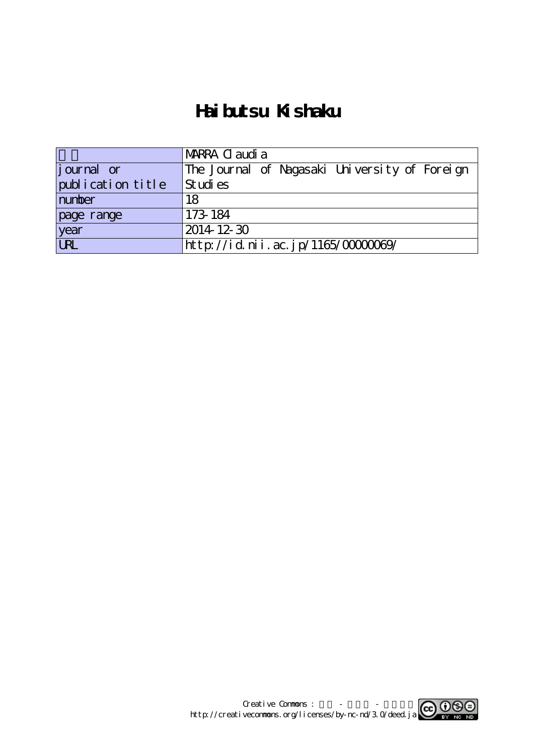# **Haibutsu Kishaku**

|                    | MARRA C audi a                                |
|--------------------|-----------------------------------------------|
| <i>j</i> ournal or | The Journal of Nagasaki University of Foreign |
| publication title  | St udi es                                     |
| number             | 18                                            |
| page range         | 173-184                                       |
| year<br>URL        | $2014$ 12-30                                  |
|                    | http://id.nii.ac.jp/1165/0000069/             |

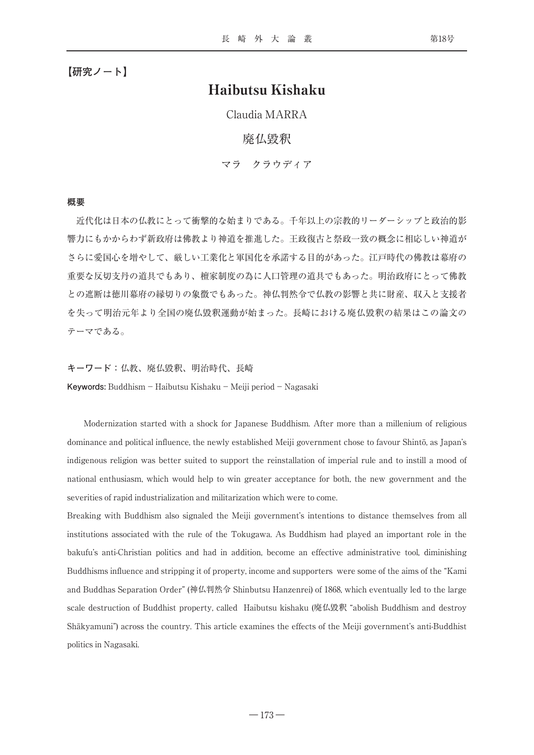## Haibutsu Kishaku

Claudia MARRA

## 廃仏毀釈

マラ クラウディア

#### **概要**

近代化は日本の仏教にとって衝撃的な始まりである。千年以上の宗教的リーダーシップと政治的影 響力にもかからわず新政府は佛教より神道を推進した。王政復古と祭政一致の概念に相応しい神道が さらに愛国心を増やして、厳しい工業化と軍国化を承諾する目的があった。江戸時代の佛教は幕府の 重要な反切支丹の道具でもあり、檀家制度の為に人口管理の道具でもあった。明治政府にとって佛教 との遮断は徳川幕府の縁切りの象徴でもあった。神仏判然令で仏教の影響と共に財産、収入と支援者 を失って明治元年より全国の廃仏毀釈運動が始まった。長崎における廃仏毀釈の結果はこの論文の テーマである。

**キーワード:**仏教、廃仏毀釈、明治時代、長崎 **Keywords:** Buddhism - Haibutsu Kishaku - Meiji period - Nagasaki

Modernization started with a shock for Japanese Buddhism. After more than a millenium of religious dominance and political influence, the newly established Meiji government chose to favour Shintō, as Japan's indigenous religion was better suited to support the reinstallation of imperial rule and to instill a mood of national enthusiasm, which would help to win greater acceptance for both, the new government and the severities of rapid industrialization and militarization which were to come.

Breaking with Buddhism also signaled the Meiji government's intentions to distance themselves from all institutions associated with the rule of the Tokugawa. As Buddhism had played an important role in the bakufu's anti-Christian politics and had in addition, become an effective administrative tool, diminishing Buddhisms influence and stripping it of property, income and supporters were some of the aims of the "Kami and Buddhas Separation Order" (神仏判然令 Shinbutsu Hanzenrei) of 1868, which eventually led to the large scale destruction of Buddhist property, called Haibutsu kishaku (廃仏毀釈 "abolish Buddhism and destroy Shākyamuni") across the country. This article examines the effects of the Meiji government's anti-Buddhist politics in Nagasaki.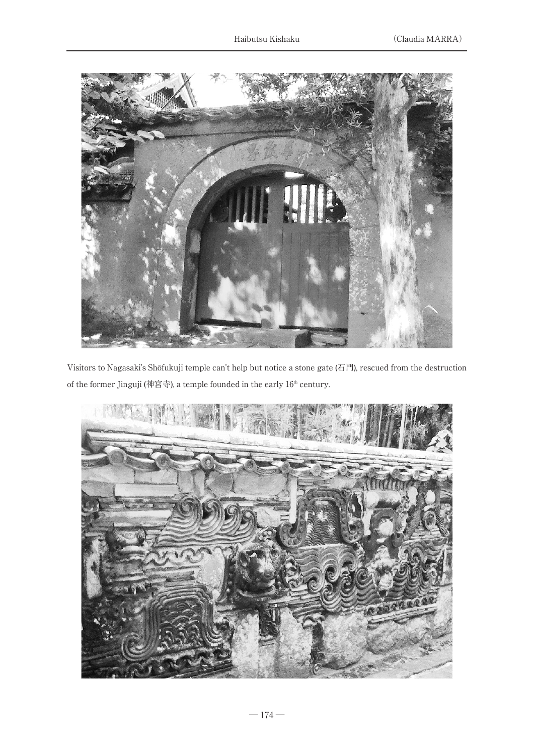

Visitors to Nagasaki's Shōfukuji temple can't help but notice a stone gate (石門), rescued from the destruction of the former Jinguji (神宮寺), a temple founded in the early  $16^{\rm th}$  century.

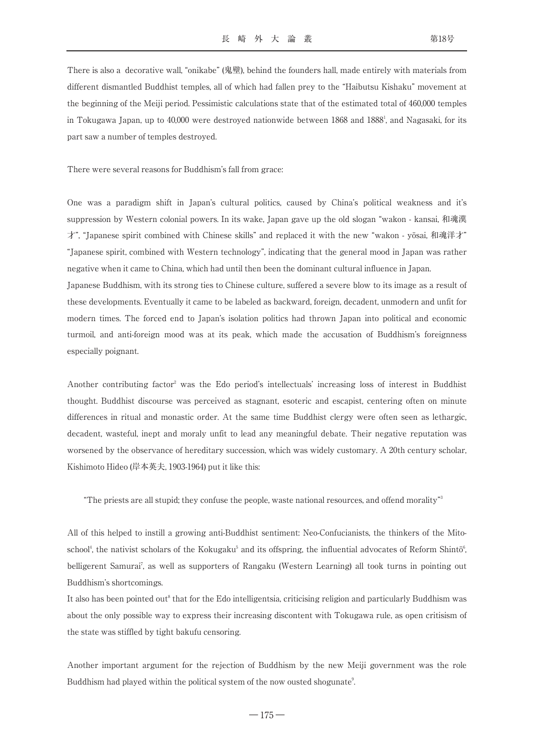There is also a decorative wall, "onikabe" (鬼壁), behind the founders hall, made entirely with materials from different dismantled Buddhist temples, all of which had fallen prey to the "Haibutsu Kishaku" movement at the beginning of the Meiji period. Pessimistic calculations state that of the estimated total of 460,000 temples in Tokugawa Japan, up to 40,000 were destroyed nationwide between 1868 and 1888', and Nagasaki, for its part saw a number of temples destroyed.

There were several reasons for Buddhism's fall from grace:

One was a paradigm shift in Japan's cultural politics, caused by China's political weakness and it's suppression by Western colonial powers. In its wake, Japan gave up the old slogan "wakon - kansai, 和魂漢 才", "Japanese spirit combined with Chinese skills" and replaced it with the new "wakon - yōsai, 和魂洋才" "Japanese spirit, combined with Western technology", indicating that the general mood in Japan was rather negative when it came to China, which had until then been the dominant cultural influence in Japan. Japanese Buddhism, with its strong ties to Chinese culture, suffered a severe blow to its image as a result of these developments. Eventually it came to be labeled as backward, foreign, decadent, unmodern and unfit for modern times. The forced end to Japan's isolation politics had thrown Japan into political and economic turmoil, and anti-foreign mood was at its peak, which made the accusation of Buddhism's foreignness especially poignant.

Another contributing factor<sup>2</sup> was the Edo period's intellectuals' increasing loss of interest in Buddhist thought. Buddhist discourse was perceived as stagnant, esoteric and escapist, centering often on minute differences in ritual and monastic order. At the same time Buddhist clergy were often seen as lethargic, decadent, wasteful, inept and moraly unfit to lead any meaningful debate. Their negative reputation was worsened by the observance of hereditary succession, which was widely customary. A 20th century scholar, Kishimoto Hideo (岸本英夫, 1903-1964) put it like this:

"The priests are all stupid; they confuse the people, waste national resources, and offend morality"3

All of this helped to instill a growing anti-Buddhist sentiment: Neo-Confucianists, the thinkers of the Mitoschool<sup>4</sup>, the nativist scholars of the Kokugaku<sup>5</sup> and its offspring, the influential advocates of Reform Shintō<sup>6</sup> , belligerent Samurai7 , as well as supporters of Rangaku (Western Learning) all took turns in pointing out Buddhism's shortcomings.

It also has been pointed out<sup>8</sup> that for the Edo intelligentsia, criticising religion and particularly Buddhism was about the only possible way to express their increasing discontent with Tokugawa rule, as open critisism of the state was stiffled by tight bakufu censoring.

Another important argument for the rejection of Buddhism by the new Meiji government was the role Buddhism had played within the political system of the now ousted shogunate 9 .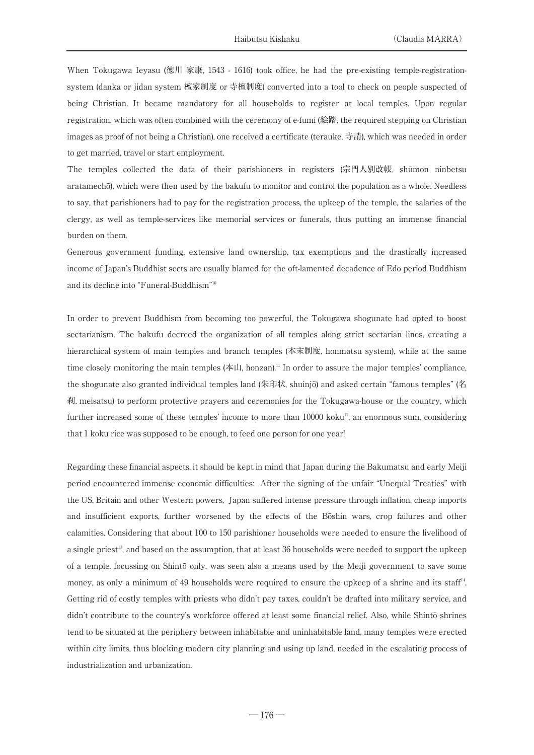When Tokugawa Ieyasu (徳川 家康, 1543 - 1616) took office, he had the pre-existing temple-registrationsystem (danka or jidan system 檀家制度 or 寺檀制度) converted into a tool to check on people suspected of being Christian. It became mandatory for all households to register at local temples. Upon regular registration, which was often combined with the ceremony of e-fumi (絵踏, the required stepping on Christian images as proof of not being a Christian), one received a certificate (terauke, 寺請), which was needed in order to get married, travel or start employment.

The temples collected the data of their parishioners in registers (宗門人別改帳, shūmon ninbetsu aratamechō), which were then used by the bakufu to monitor and control the population as a whole. Needless to say, that parishioners had to pay for the registration process, the upkeep of the temple, the salaries of the clergy, as well as temple-services like memorial services or funerals, thus putting an immense financial burden on them.

Generous government funding, extensive land ownership, tax exemptions and the drastically increased income of Japan's Buddhist sects are usually blamed for the oft-lamented decadence of Edo period Buddhism and its decline into "Funeral-Buddhism"10

In order to prevent Buddhism from becoming too powerful, the Tokugawa shogunate had opted to boost sectarianism. The bakufu decreed the organization of all temples along strict sectarian lines, creating a hierarchical system of main temples and branch temples (本末制度, honmatsu system), while at the same time closely monitoring the main temples (本山, honzan).<sup>11</sup> In order to assure the major temples' compliance, the shogunate also granted individual temples land (朱印状, shuinjō) and asked certain "famous temples" (名 刹, meisatsu) to perform protective prayers and ceremonies for the Tokugawa-house or the country, which further increased some of these temples' income to more than  $10000$  koku $^{\text{12}}$ , an enormous sum, considering that 1 koku rice was supposed to be enough, to feed one person for one year!

Regarding these financial aspects, it should be kept in mind that Japan during the Bakumatsu and early Meiji period encountered immense economic difficulties: After the signing of the unfair "Unequal Treaties" with the US, Britain and other Western powers, Japan suffered intense pressure through inflation, cheap imports and insufficient exports, further worsened by the effects of the Bōshin wars, crop failures and other calamities. Considering that about 100 to 150 parishioner households were needed to ensure the livelihood of a single priest<sup>13</sup>, and based on the assumption, that at least 36 households were needed to support the upkeep of a temple, focussing on Shintō only, was seen also a means used by the Meiji government to save some money, as only a minimum of 49 households were required to ensure the upkeep of a shrine and its staff<sup>14</sup>. .<br>. Getting rid of costly temples with priests who didn't pay taxes, couldn't be drafted into military service, and didn't contribute to the country's workforce offered at least some financial relief. Also, while Shintō shrines tend to be situated at the periphery between inhabitable and uninhabitable land, many temples were erected within city limits, thus blocking modern city planning and using up land, needed in the escalating process of industrialization and urbanization.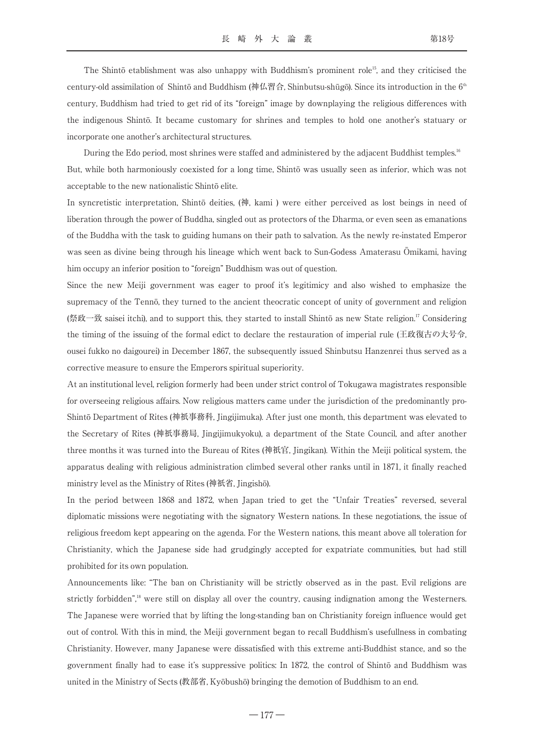The Shintō etablishment was also unhappy with Buddhism's prominent role<sup>15</sup>, and they criticised the century-old assimilation of Shintō and Buddhism (神仏習合, Shinbutsu-shūgō). Since its introduction in the  $6<sup>th</sup>$ century, Buddhism had tried to get rid of its "foreign" image by downplaying the religious differences with the indigenous Shintō. It became customary for shrines and temples to hold one another's statuary or incorporate one another's architectural structures.

During the Edo period, most shrines were staffed and administered by the adjacent Buddhist temples.<sup>16</sup> But, while both harmoniously coexisted for a long time, Shintō was usually seen as inferior, which was not acceptable to the new nationalistic Shintō elite.

In syncretistic interpretation, Shintō deities, (神, kami ) were either perceived as lost beings in need of liberation through the power of Buddha, singled out as protectors of the Dharma, or even seen as emanations of the Buddha with the task to guiding humans on their path to salvation. As the newly re-instated Emperor was seen as divine being through his lineage which went back to Sun-Godess Amaterasu Ōmikami, having him occupy an inferior position to "foreign" Buddhism was out of question.

Since the new Meiji government was eager to proof it's legitimicy and also wished to emphasize the supremacy of the Tennō, they turned to the ancient theocratic concept of unity of government and religion (祭政一致 saisei itchi), and to support this, they started to install Shintō as new State religion.17 Considering the timing of the issuing of the formal edict to declare the restauration of imperial rule (王政復古の大号令, ousei fukko no daigourei) in December 1867, the subsequently issued Shinbutsu Hanzenrei thus served as a corrective measure to ensure the Emperors spiritual superiority.

At an institutional level, religion formerly had been under strict control of Tokugawa magistrates responsible for overseeing religious affairs. Now religious matters came under the jurisdiction of the predominantly pro-Shintō Department of Rites (神祇事務科, Jingijimuka). After just one month, this department was elevated to the Secretary of Rites (神祇事務局, Jingijimukyoku), a department of the State Council, and after another three months it was turned into the Bureau of Rites (神祇官, Jingikan). Within the Meiji political system, the apparatus dealing with religious administration climbed several other ranks until in 1871, it finally reached ministry level as the Ministry of Rites (神祇省, Jingishō).

In the period between 1868 and 1872, when Japan tried to get the "Unfair Treaties" reversed, several diplomatic missions were negotiating with the signatory Western nations. In these negotiations, the issue of religious freedom kept appearing on the agenda. For the Western nations, this meant above all toleration for Christianity, which the Japanese side had grudgingly accepted for expatriate communities, but had still prohibited for its own population.

Announcements like: "The ban on Christianity will be strictly observed as in the past. Evil religions are strictly forbidden",<sup>18</sup> were still on display all over the country, causing indignation among the Westerners. The Japanese were worried that by lifting the long-standing ban on Christianity foreign influence would get out of control. With this in mind, the Meiji government began to recall Buddhism's usefullness in combating Christianity. However, many Japanese were dissatisfied with this extreme anti-Buddhist stance, and so the government finally had to ease it's suppressive politics: In 1872, the control of Shintō and Buddhism was united in the Ministry of Sects (教部省, Kyōbushō) bringing the demotion of Buddhism to an end.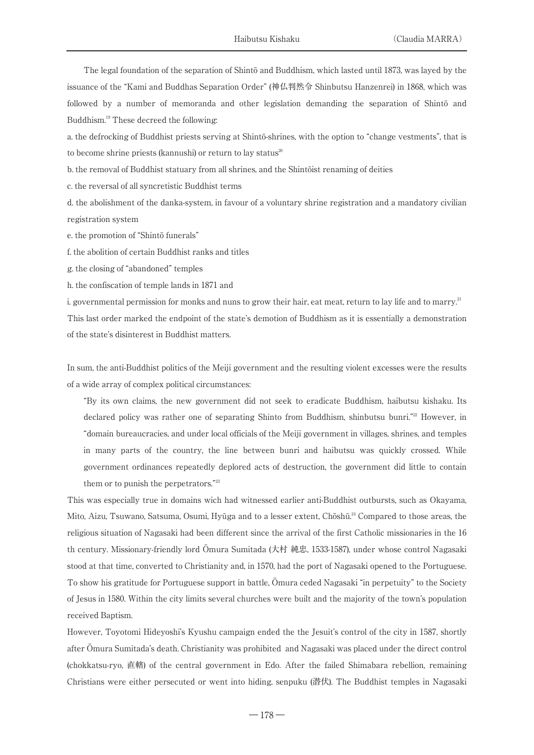The legal foundation of the separation of Shintō and Buddhism, which lasted until 1873, was layed by the issuance of the "Kami and Buddhas Separation Order" (神仏判然令 Shinbutsu Hanzenrei) in 1868, which was followed by a number of memoranda and other legislation demanding the separation of Shintō and Buddhism.<sup>19</sup> These decreed the following:

a. the defrocking of Buddhist priests serving at Shintō-shrines, with the option to "change vestments", that is to become shrine priests (kannushi) or return to lay status<sup>20</sup>

b. the removal of Buddhist statuary from all shrines, and the Shintōist renaming of deities

c. the reversal of all syncretistic Buddhist terms

d. the abolishment of the danka-system, in favour of a voluntary shrine registration and a mandatory civilian registration system

e. the promotion of "Shintō funerals"

f. the abolition of certain Buddhist ranks and titles

g. the closing of "abandoned" temples

h. the confiscation of temple lands in 1871 and

i. governmental permission for monks and nuns to grow their hair, eat meat, return to lay life and to marry.<sup>21</sup> This last order marked the endpoint of the state's demotion of Buddhism as it is essentially a demonstration of the state's disinterest in Buddhist matters.

In sum, the anti-Buddhist politics of the Meiji government and the resulting violent excesses were the results of a wide array of complex political circumstances:

"By its own claims, the new government did not seek to eradicate Buddhism, haibutsu kishaku. Its declared policy was rather one of separating Shinto from Buddhism, shinbutsu bunri."<sup>22</sup> However, in "domain bureaucracies, and under local officials of the Meiji government in villages, shrines, and temples in many parts of the country, the line between bunri and haibutsu was quickly crossed. While government ordinances repeatedly deplored acts of destruction, the government did little to contain them or to punish the perpetrators."23

This was especially true in domains wich had witnessed earlier anti-Buddhist outbursts, such as Okayama, Mito, Aizu, Tsuwano, Satsuma, Osumi, Hyūga and to a lesser extent, Chōshū.<sup>24</sup> Compared to those areas, the religious situation of Nagasaki had been different since the arrival of the first Catholic missionaries in the 16 th century. Missionary-friendly lord Ōmura Sumitada (大村 純忠, 1533-1587), under whose control Nagasaki stood at that time, converted to Christianity and, in 1570, had the port of Nagasaki opened to the Portuguese. To show his gratitude for Portuguese support in battle, Ōmura ceded Nagasaki "in perpetuity" to the Society of Jesus in 1580. Within the city limits several churches were built and the majority of the town's population received Baptism.

However, Toyotomi Hideyoshi's Kyushu campaign ended the the Jesuit's control of the city in 1587, shortly after Ōmura Sumitada's death. Christianity was prohibited and Nagasaki was placed under the direct control (chokkatsu-ryo, 直轄) of the central government in Edo. After the failed Shimabara rebellion, remaining Christians were either persecuted or went into hiding, senpuku (潜伏). The Buddhist temples in Nagasaki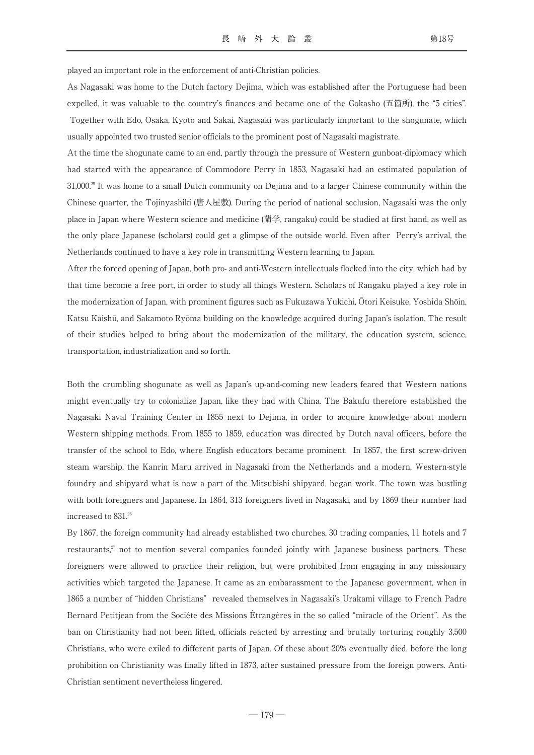played an important role in the enforcement of anti-Christian policies.

As Nagasaki was home to the Dutch factory Dejima, which was established after the Portuguese had been expelled, it was valuable to the country's finances and became one of the Gokasho (五箇所), the "5 cities". Together with Edo, Osaka, Kyoto and Sakai, Nagasaki was particularly important to the shogunate, which usually appointed two trusted senior officials to the prominent post of Nagasaki magistrate.

At the time the shogunate came to an end, partly through the pressure of Western gunboat-diplomacy which had started with the appearance of Commodore Perry in 1853, Nagasaki had an estimated population of  $31,000<sup>35</sup>$  It was home to a small Dutch community on Dejima and to a larger Chinese community within the Chinese quarter, the Tojinyashiki (唐人屋敷). During the period of national seclusion, Nagasaki was the only place in Japan where Western science and medicine (蘭学, rangaku) could be studied at first hand, as well as the only place Japanese (scholars) could get a glimpse of the outside world. Even after Perry's arrival, the Netherlands continued to have a key role in transmitting Western learning to Japan.

After the forced opening of Japan, both pro- and anti-Western intellectuals flocked into the city, which had by that time become a free port, in order to study all things Western. Scholars of Rangaku played a key role in the modernization of Japan, with prominent figures such as Fukuzawa Yukichi, Ōtori Keisuke, Yoshida Shōin, Katsu Kaishū, and Sakamoto Ryōma building on the knowledge acquired during Japan's isolation. The result of their studies helped to bring about the modernization of the military, the education system, science, transportation, industrialization and so forth.

Both the crumbling shogunate as well as Japan's up-and-coming new leaders feared that Western nations might eventually try to colonialize Japan, like they had with China. The Bakufu therefore established the Nagasaki Naval Training Center in 1855 next to Dejima, in order to acquire knowledge about modern Western shipping methods. From 1855 to 1859, education was directed by Dutch naval officers, before the transfer of the school to Edo, where English educators became prominent. In 1857, the first screw-driven steam warship, the Kanrin Maru arrived in Nagasaki from the Netherlands and a modern, Western-style foundry and shipyard what is now a part of the Mitsubishi shipyard, began work. The town was bustling with both foreigners and Japanese. In 1864, 313 foreigners lived in Nagasaki, and by 1869 their number had increased to 831.<sup>26</sup>

By 1867, the foreign community had already established two churches, 30 trading companies, 11 hotels and 7 restaurants, $\mathbb{Z}$  not to mention several companies founded jointly with Japanese business partners. These foreigners were allowed to practice their religion, but were prohibited from engaging in any missionary activities which targeted the Japanese. It came as an embarassment to the Japanese government, when in 1865 a number of "hidden Christians" revealed themselves in Nagasaki's Urakami village to French Padre Bernard Petitjean from the Sociéte des Missions Étrangères in the so called "miracle of the Orient". As the ban on Christianity had not been lifted, officials reacted by arresting and brutally torturing roughly 3,500 Christians, who were exiled to different parts of Japan. Of these about 20% eventually died, before the long prohibition on Christianity was finally lifted in 1873, after sustained pressure from the foreign powers. Anti-Christian sentiment nevertheless lingered.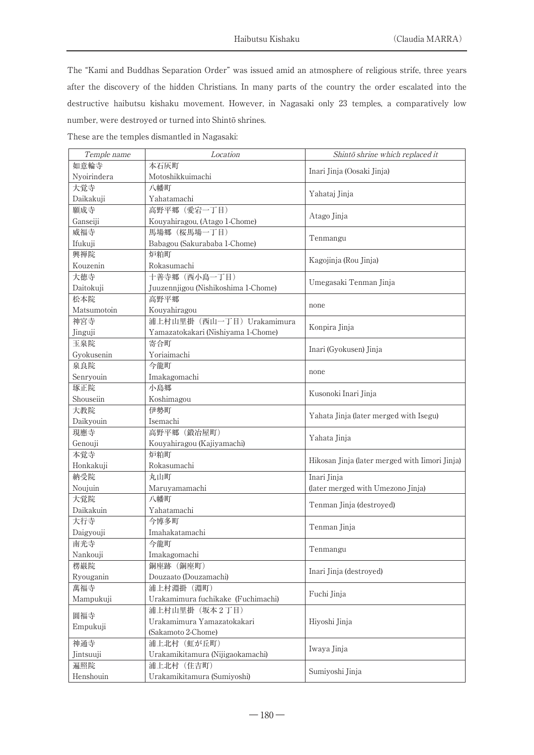The "Kami and Buddhas Separation Order" was issued amid an atmosphere of religious strife, three years after the discovery of the hidden Christians. In many parts of the country the order escalated into the destructive haibutsu kishaku movement. However, in Nagasaki only 23 temples, a comparatively low number, were destroyed or turned into Shintō shrines.

These are the temples dismantled in Nagasaki:

| Temple name | Location                            | Shintō shrine which replaced it                |  |
|-------------|-------------------------------------|------------------------------------------------|--|
| 如意輪寺        | 本石灰町                                |                                                |  |
| Nyoirindera | Motoshikkuimachi                    | Inari Jinja (Oosaki Jinja)                     |  |
| 大覚寺         | 八幡町                                 |                                                |  |
| Daikakuji   | Yahatamachi                         | Yahataj Jinja                                  |  |
| 願成寺         | 高野平郷 (愛宕一丁目)                        |                                                |  |
| Ganseiji    | Kouyahiragou, (Atago 1-Chome)       | Atago Jinja                                    |  |
| 威福寺         | 馬場郷 (桜馬場一丁目)                        |                                                |  |
| Ifukuji     | Babagou (Sakurababa 1-Chome)        | Tenmangu                                       |  |
| 興禅院         | 炉粕町                                 |                                                |  |
| Kouzenin    | Rokasumachi                         | Kagojinja (Rou Jinja)                          |  |
| 大徳寺         | 十善寺郷 (西小島一丁目)                       |                                                |  |
| Daitokuji   | Juuzennjigou (Nishikoshima 1-Chome) | Umegasaki Tenman Jinja                         |  |
| 松本院         | 高野平郷                                |                                                |  |
| Matsumotoin | Kouyahiragou                        | none                                           |  |
| 神宮寺         | 浦上村山里掛 (西山一丁目) Urakamimura          |                                                |  |
| Jinguji     | Yamazatokakari (Nishiyama 1-Chome)  | Konpira Jinja                                  |  |
| 玉泉院         | 寄合町                                 |                                                |  |
| Gyokusenin  | Yoriaimachi                         | Inari (Gyokusen) Jinja                         |  |
| 泉良院         | 今龍町                                 |                                                |  |
| Senryouin   | Imakagomachi                        | none                                           |  |
| 琢正院         | 小島郷                                 |                                                |  |
| Shouseiin   | Koshimagou                          | Kusonoki Inari Jinja                           |  |
| 大教院         | 伊勢町                                 |                                                |  |
| Daikyouin   | Isemachi                            | Yahata Jinja (later merged with Isegu)         |  |
| 現應寺         | 高野平郷 (鍛冶屋町)                         |                                                |  |
| Genouji     | Kouyahiragou (Kajiyamachi)          | Yahata Jinja                                   |  |
| 本覚寺         | 炉粕町                                 |                                                |  |
| Honkakuji   | Rokasumachi                         | Hikosan Jinja (later merged with Iimori Jinja) |  |
| 納受院         | 丸山町                                 | Inari Jinja                                    |  |
| Noujuin     | Maruyamamachi                       | (later merged with Umezono Jinja)              |  |
| 大覚院         | 八幡町                                 |                                                |  |
| Daikakuin   | Yahatamachi                         | Tenman Jinja (destroyed)                       |  |
| 大行寺         | 今博多町                                | Tenman Jinja                                   |  |
| Daigyouji   | Imahakatamachi                      |                                                |  |
| 南光寺         | 今龍町                                 | Tenmangu                                       |  |
| Nankouji    | Imakagomachi                        |                                                |  |
| 楞巌院         | 銅座跡 (銅座町)                           |                                                |  |
| Ryouganin   | Douzaato (Douzamachi)               | Inari Jinja (destroyed)                        |  |
| 萬福寺         | 浦上村淵掛 (淵町)                          |                                                |  |
| Mampukuji   | Urakamimura fuchikake (Fuchimachi)  | Fuchi Jinja                                    |  |
|             | 浦上村山里掛 (坂本2丁目)                      |                                                |  |
| 圓福寺         | Urakamimura Yamazatokakari          | Hiyoshi Jinja                                  |  |
| Empukuji    | (Sakamoto 2-Chome)                  |                                                |  |
| 神通寺         | 浦上北村 (虹が丘町)                         | Iwaya Jinja                                    |  |
| Jintsuuji   | Urakamikitamura (Nijigaokamachi)    |                                                |  |
| 遍照院         | 浦上北村 (住吉町)                          |                                                |  |
| Henshouin   | Urakamikitamura (Sumiyoshi)         | Sumiyoshi Jinja                                |  |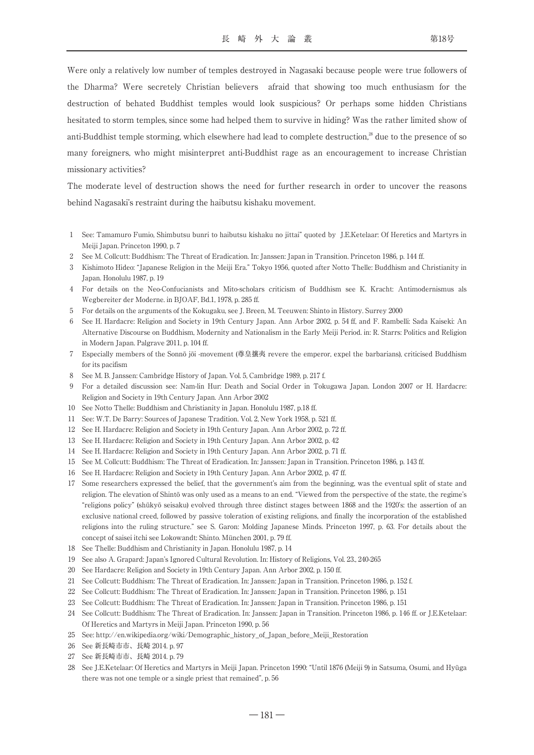Were only a relatively low number of temples destroyed in Nagasaki because people were true followers of the Dharma? Were secretely Christian believers afraid that showing too much enthusiasm for the destruction of behated Buddhist temples would look suspicious? Or perhaps some hidden Christians hesitated to storm temples, since some had helped them to survive in hiding? Was the rather limited show of anti-Buddhist temple storming, which elsewhere had lead to complete destruction.<sup>28</sup> due to the presence of so many foreigners, who might misinterpret anti-Buddhist rage as an encouragement to increase Christian missionary activities?

The moderate level of destruction shows the need for further research in order to uncover the reasons behind Nagasaki's restraint during the haibutsu kishaku movement.

- 1 See: Tamamuro Fumio, Shimbutsu bunri to haibutsu kishaku no jittai" quoted by J.E.Ketelaar: Of Heretics and Martyrs in Meiji Japan. Princeton 1990, p. 7
- 2 See M. Collcutt: Buddhism: The Threat of Eradication. In: Janssen: Japan in Transition. Princeton 1986, p. 144 ff.
- 3 Kishimoto Hideo: "Japanese Religion in the Meiji Era." Tokyo 1956, quoted after Notto Thelle: Buddhism and Christianity in Japan. Honolulu 1987, p. 19
- 4 For details on the Neo-Confucianists and Mito-scholars criticism of Buddhism see K. Kracht: Antimodernismus als Wegbereiter der Moderne. in BJOAF, Bd.1, 1978, p. 285 ff.
- 5 For details on the arguments of the Kokugaku, see J. Breen, M. Teeuwen: Shinto in History. Surrey 2000
- 6 See H. Hardacre: Religion and Society in 19th Century Japan. Ann Arbor 2002, p. 54 ff, and F. Rambelli: Sada Kaiseki: An Alternative Discourse on Buddhism, Modernity and Nationalism in the Early Meiji Period. in: R. Starrs: Politics and Religion in Modern Japan. Palgrave 2011, p. 104 ff.
- 7 Especially members of the Sonnō jōi -movement (尊皇攘夷 revere the emperor, expel the barbarians), criticised Buddhism for its pacifism
- 8 See M. B. Janssen: Cambridge History of Japan. Vol. 5, Cambridge 1989, p. 217 f.
- 9 For a detailed discussion see: Nam-lin Hur: Death and Social Order in Tokugawa Japan. London 2007 or H. Hardacre: Religion and Society in 19th Century Japan. Ann Arbor 2002
- 10 See Notto Thelle: Buddhism and Christianity in Japan. Honolulu 1987, p.18 ff.
- 11 See: W.T. De Barry: Sources of Japanese Tradition. Vol. 2, New York 1958, p. 521 ff.
- 12 See H. Hardacre: Religion and Society in 19th Century Japan. Ann Arbor 2002, p. 72 ff.
- 13 See H. Hardacre: Religion and Society in 19th Century Japan. Ann Arbor 2002, p. 42
- 14 See H. Hardacre: Religion and Society in 19th Century Japan. Ann Arbor 2002, p. 71 ff.
- 15 See M. Collcutt: Buddhism: The Threat of Eradication. In: Janssen: Japan in Transition. Princeton 1986, p. 143 ff.
- 16 See H. Hardacre: Religion and Society in 19th Century Japan. Ann Arbor 2002, p. 47 ff.
- 17 Some researchers expressed the belief, that the government's aim from the beginning, was the eventual split of state and religion. The elevation of Shintō was only used as a means to an end. "Viewed from the perspective of the state, the regime's "religions policy" (shūkyō seisaku) evolved through three distinct stages between 1868 and the 1920's: the assertion of an exclusive national creed, followed by passive toleration of existing religions, and finally the incorporation of the established religions into the ruling structure." see S. Garon: Molding Japanese Minds. Princeton 1997, p. 63. For details about the concept of saisei itchi see Lokowandt: Shinto. München 2001, p. 79 ff.
- 18 See Thelle: Buddhism and Christianity in Japan. Honolulu 1987, p. 14
- 19 See also A. Grapard: Japan's Ignored Cultural Revolution. In: History of Religions, Vol. 23., 240-265
- 20 See Hardacre: Religion and Society in 19th Century Japan. Ann Arbor 2002, p. 150 ff.
- 21 See Collcutt: Buddhism: The Threat of Eradication. In: Janssen: Japan in Transition. Princeton 1986, p. 152 f.
- 22 See Collcutt: Buddhism: The Threat of Eradication. In: Janssen: Japan in Transition. Princeton 1986, p. 151
- 23 See Collcutt: Buddhism: The Threat of Eradication. In: Janssen: Japan in Transition. Princeton 1986, p. 151
- 24 See Collcutt: Buddhism: The Threat of Eradication. In: Janssen: Japan in Transition. Princeton 1986, p. 146 ff. or J.E.Ketelaar: Of Heretics and Martyrs in Meiji Japan. Princeton 1990, p. 56
- 25 See: http://en.wikipedia.org/wiki/Demographic\_history\_of\_Japan\_before\_Meiji\_Restoration
- 26 See 新長崎市市、長崎 2014. p. 97
- 27 See 新長崎市市、長崎 2014. p. 79
- 28 See J.E.Ketelaar: Of Heretics and Martyrs in Meiji Japan. Princeton 1990: "Until 1876 (Meiji 9) in Satsuma, Osumi, and Hyūga there was not one temple or a single priest that remained", p. 56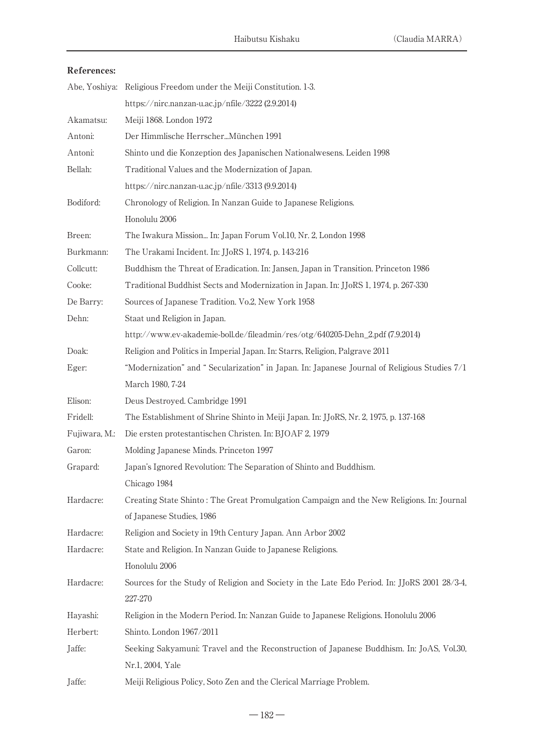### References:

|               | Abe, Yoshiya: Religious Freedom under the Meiji Constitution. 1-3.                           |
|---------------|----------------------------------------------------------------------------------------------|
|               | https://nirc.nanzan-u.ac.jp/nfile/3222 (2.9.2014)                                            |
| Akamatsu:     | Meiji 1868. London 1972                                                                      |
| Antoni:       | Der Himmlische HerrscherMünchen 1991                                                         |
| Antoni:       | Shinto und die Konzeption des Japanischen Nationalwesens. Leiden 1998                        |
| Bellah:       | Traditional Values and the Modernization of Japan.                                           |
|               | https://nirc.nanzan-u.ac.jp/nfile/3313 (9.9.2014)                                            |
| Bodiford:     | Chronology of Religion. In Nanzan Guide to Japanese Religions.                               |
|               | Honolulu 2006                                                                                |
| Breen:        | The Iwakura Mission In: Japan Forum Vol.10, Nr. 2, London 1998                               |
| Burkmann:     | The Urakami Incident. In: JJoRS 1, 1974, p. 143-216                                          |
| Collcutt:     | Buddhism the Threat of Eradication. In: Jansen, Japan in Transition. Princeton 1986          |
| Cooke:        | Traditional Buddhist Sects and Modernization in Japan. In: JJoRS 1, 1974, p. 267-330         |
| De Barry:     | Sources of Japanese Tradition. Vo.2, New York 1958                                           |
| Dehn:         | Staat und Religion in Japan.                                                                 |
|               | http://www.ev-akademie-boll.de/fileadmin/res/otg/640205-Dehn_2.pdf (7.9.2014)                |
| Doak:         | Religion and Politics in Imperial Japan. In: Starrs, Religion, Palgrave 2011                 |
| Eger:         | "Modernization" and "Secularization" in Japan. In: Japanese Journal of Religious Studies 7/1 |
|               | March 1980, 7-24                                                                             |
| Elison:       | Deus Destroyed. Cambridge 1991                                                               |
| Fridell:      | The Establishment of Shrine Shinto in Meiji Japan. In: JJoRS, Nr. 2, 1975, p. 137-168        |
| Fujiwara, M.: | Die ersten protestantischen Christen. In: BJOAF 2, 1979                                      |
| Garon:        | Molding Japanese Minds. Princeton 1997                                                       |
| Grapard:      | Japan's Ignored Revolution: The Separation of Shinto and Buddhism.                           |
|               | Chicago 1984                                                                                 |
| Hardacre:     | Creating State Shinto: The Great Promulgation Campaign and the New Religions. In: Journal    |
|               | of Japanese Studies, 1986                                                                    |
| Hardacre:     | Religion and Society in 19th Century Japan. Ann Arbor 2002                                   |
| Hardacre:     | State and Religion. In Nanzan Guide to Japanese Religions.                                   |
|               | Honolulu 2006                                                                                |
| Hardacre:     | Sources for the Study of Religion and Society in the Late Edo Period. In: JJoRS 2001 28/3-4, |
|               | 227-270                                                                                      |
| Hayashi:      | Religion in the Modern Period. In: Nanzan Guide to Japanese Religions. Honolulu 2006         |
| Herbert:      | Shinto. London 1967/2011                                                                     |
| Jaffe:        | Seeking Sakyamuni: Travel and the Reconstruction of Japanese Buddhism. In: JoAS, Vol.30,     |
|               | Nr.1, 2004, Yale                                                                             |
| Jaffe:        | Meiji Religious Policy, Soto Zen and the Clerical Marriage Problem.                          |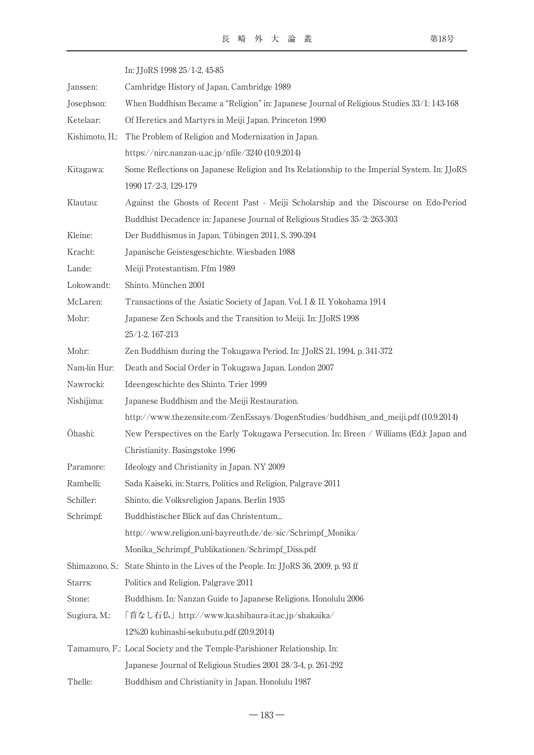|                | In: JJoRS 1998 25/1-2, 45-85                                                                 |
|----------------|----------------------------------------------------------------------------------------------|
| Janssen:       | Cambridge History of Japan, Cambridge 1989                                                   |
| Josephson:     | When Buddhism Became a "Religion" in: Japanese Journal of Religious Studies 33/1: 143-168    |
| Ketelaar:      | Of Heretics and Martyrs in Meiji Japan. Princeton 1990                                       |
| Kishimoto, H.: | The Problem of Religion and Modernization in Japan.                                          |
|                | https://nirc.nanzan-u.ac.jp/nfile/3240 (10.9.2014)                                           |
| Kitagawa:      | Some Reflections on Japanese Religion and Its Relationship to the Imperial System. In: JJoRS |
|                | 1990 17/2-3, 129-179                                                                         |
| Klautau:       | Against the Ghosts of Recent Past - Meiji Scholarship and the Discourse on Edo-Period        |
|                | Buddhist Decadence in: Japanese Journal of Religious Studies 35/2: 263-303                   |
| Kleine:        | Der Buddhismus in Japan, Tübingen 2011, S. 390-394                                           |
| Kracht:        | Japanische Geistesgeschichte. Wiesbaden 1988                                                 |
| Lande:         | Meiji Protestantism. Ffm 1989                                                                |
| Lokowandt:     | Shinto. München 2001                                                                         |
| McLaren:       | Transactions of the Asiatic Society of Japan. Vol. I & II. Yokohama 1914                     |
| Mohr:          | Japanese Zen Schools and the Transition to Meiji. In: JJoRS 1998                             |
|                | 25/1-2, 167-213                                                                              |
| Mohr:          | Zen Buddhism during the Tokugawa Period. In: JJoRS 21, 1994, p. 341-372                      |
| Nam-lin Hur:   | Death and Social Order in Tokugawa Japan. London 2007                                        |
| Nawrocki:      | Ideengeschichte des Shinto. Trier 1999                                                       |
| Nishijima:     | Japanese Buddhism and the Meiji Restauration.                                                |
|                | http://www.thezensite.com/ZenEssays/DogenStudies/buddhism_and_meiji.pdf (10.9.2014)          |
| Ōhashi:        | New Perspectives on the Early Tokugawa Persecution. In: Breen / Williams (Ed.): Japan and    |
|                | Christianity. Basingstoke 1996                                                               |
| Paramore:      | Ideology and Christianity in Japan. NY 2009                                                  |
| Rambelli:      | Sada Kaiseki, in: Starrs, Politics and Religion, Palgrave 2011                               |
| Schiller:      | Shinto, die Volksreligion Japans. Berlin 1935                                                |
| Schrimpf:      | Buddhistischer Blick auf das Christentum                                                     |
|                | http://www.religion.uni-bayreuth.de/de/sic/Schrimpf_Monika/                                  |
|                | Monika_Schrimpf_Publikationen/Schrimpf_Diss.pdf                                              |
|                | Shimazono, S.: State Shinto in the Lives of the People. In: JJoRS 36, 2009, p. 93 ff         |
| Starrs:        | Politics and Religion, Palgrave 2011                                                         |
| Stone:         | Buddhism. In: Nanzan Guide to Japanese Religions. Honolulu 2006                              |
| Sugiura, M.:   | 「首なし石仏」http://www.ka.shibaura-it.ac.jp/shakaika/                                             |
|                | 12%20 kubinashi-sekubutu.pdf (20.9.2014)                                                     |
|                | Tamamuro, F.: Local Society and the Temple-Parishioner Relationship. In:                     |
|                | Japanese Journal of Religious Studies 2001 28/3-4, p. 261-292                                |
| Thelle:        | Buddhism and Christianity in Japan. Honolulu 1987                                            |